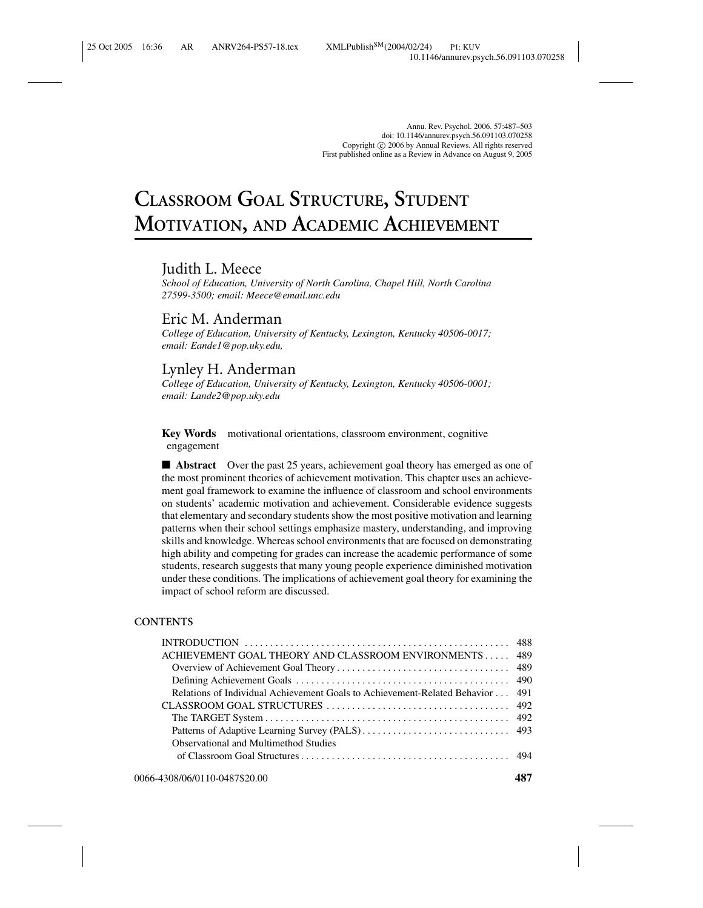# **CLASSROOM GOAL STRUCTURE, STUDENT MOTIVATION, AND ACADEMIC ACHIEVEMENT**

# Judith L. Meece

*School of Education, University of North Carolina, Chapel Hill, North Carolina 27599-3500; email: Meece@email.unc.edu*

# Eric M. Anderman

*College of Education, University of Kentucky, Lexington, Kentucky 40506-0017; email: Eande1@pop.uky.edu,*

# Lynley H. Anderman

*College of Education, University of Kentucky, Lexington, Kentucky 40506-0001; email: Lande2@pop.uky.edu*

**Key Words** motivational orientations, classroom environment, cognitive engagement

■ **Abstract** Over the past 25 years, achievement goal theory has emerged as one of the most prominent theories of achievement motivation. This chapter uses an achievement goal framework to examine the influence of classroom and school environments on students' academic motivation and achievement. Considerable evidence suggests that elementary and secondary students show the most positive motivation and learning patterns when their school settings emphasize mastery, understanding, and improving skills and knowledge. Whereas school environments that are focused on demonstrating high ability and competing for grades can increase the academic performance of some students, research suggests that many young people experience diminished motivation under these conditions. The implications of achievement goal theory for examining the impact of school reform are discussed.

### **CONTENTS**

| ACHIEVEMENT GOAL THEORY AND CLASSROOM ENVIRONMENTS 489                        |  |
|-------------------------------------------------------------------------------|--|
|                                                                               |  |
|                                                                               |  |
| Relations of Individual Achievement Goals to Achievement-Related Behavior 491 |  |
|                                                                               |  |
|                                                                               |  |
|                                                                               |  |
| <b>Observational and Multimethod Studies</b>                                  |  |
|                                                                               |  |
|                                                                               |  |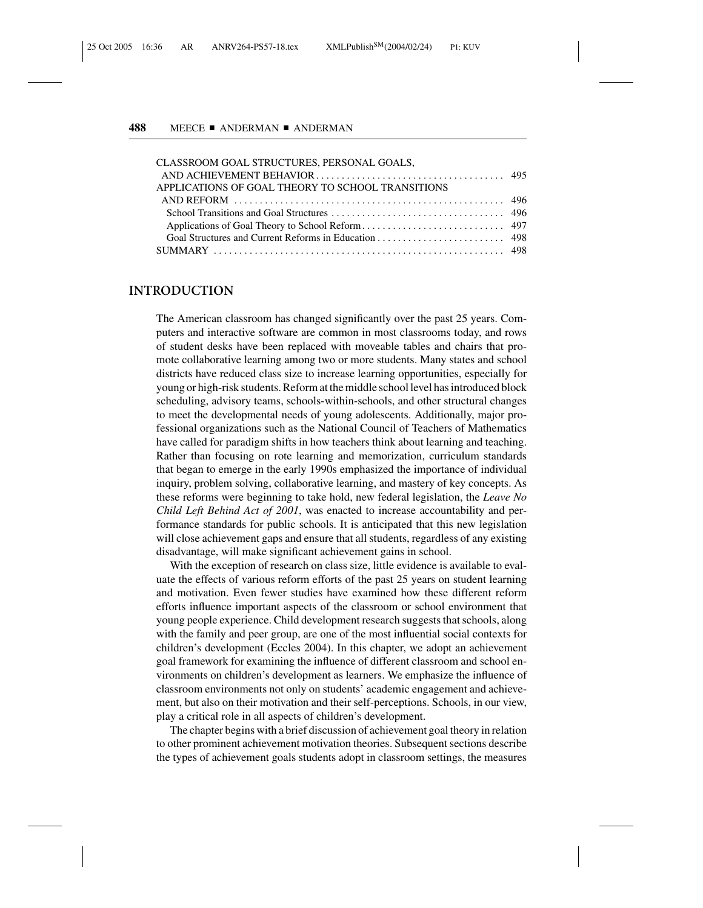| CLASSROOM GOAL STRUCTURES, PERSONAL GOALS,        |  |
|---------------------------------------------------|--|
|                                                   |  |
| APPLICATIONS OF GOAL THEORY TO SCHOOL TRANSITIONS |  |
|                                                   |  |
|                                                   |  |
|                                                   |  |
|                                                   |  |
|                                                   |  |

#### **INTRODUCTION**

The American classroom has changed significantly over the past 25 years. Computers and interactive software are common in most classrooms today, and rows of student desks have been replaced with moveable tables and chairs that promote collaborative learning among two or more students. Many states and school districts have reduced class size to increase learning opportunities, especially for young or high-risk students. Reform at the middle school level has introduced block scheduling, advisory teams, schools-within-schools, and other structural changes to meet the developmental needs of young adolescents. Additionally, major professional organizations such as the National Council of Teachers of Mathematics have called for paradigm shifts in how teachers think about learning and teaching. Rather than focusing on rote learning and memorization, curriculum standards that began to emerge in the early 1990s emphasized the importance of individual inquiry, problem solving, collaborative learning, and mastery of key concepts. As these reforms were beginning to take hold, new federal legislation, the *Leave No Child Left Behind Act of 2001*, was enacted to increase accountability and performance standards for public schools. It is anticipated that this new legislation will close achievement gaps and ensure that all students, regardless of any existing disadvantage, will make significant achievement gains in school.

With the exception of research on class size, little evidence is available to evaluate the effects of various reform efforts of the past 25 years on student learning and motivation. Even fewer studies have examined how these different reform efforts influence important aspects of the classroom or school environment that young people experience. Child development research suggests that schools, along with the family and peer group, are one of the most influential social contexts for children's development (Eccles 2004). In this chapter, we adopt an achievement goal framework for examining the influence of different classroom and school environments on children's development as learners. We emphasize the influence of classroom environments not only on students' academic engagement and achievement, but also on their motivation and their self-perceptions. Schools, in our view, play a critical role in all aspects of children's development.

The chapter begins with a brief discussion of achievement goal theory in relation to other prominent achievement motivation theories. Subsequent sections describe the types of achievement goals students adopt in classroom settings, the measures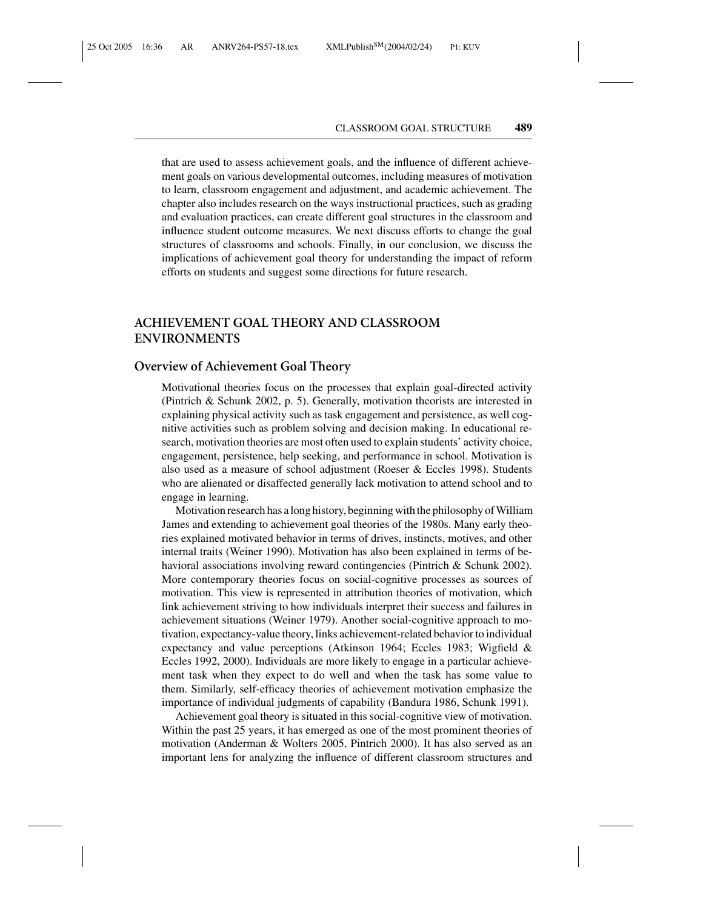that are used to assess achievement goals, and the influence of different achievement goals on various developmental outcomes, including measures of motivation to learn, classroom engagement and adjustment, and academic achievement. The chapter also includes research on the ways instructional practices, such as grading and evaluation practices, can create different goal structures in the classroom and influence student outcome measures. We next discuss efforts to change the goal structures of classrooms and schools. Finally, in our conclusion, we discuss the implications of achievement goal theory for understanding the impact of reform efforts on students and suggest some directions for future research.

## **ACHIEVEMENT GOAL THEORY AND CLASSROOM ENVIRONMENTS**

## **Overview of Achievement Goal Theory**

Motivational theories focus on the processes that explain goal-directed activity (Pintrich & Schunk 2002, p. 5). Generally, motivation theorists are interested in explaining physical activity such as task engagement and persistence, as well cognitive activities such as problem solving and decision making. In educational research, motivation theories are most often used to explain students' activity choice, engagement, persistence, help seeking, and performance in school. Motivation is also used as a measure of school adjustment (Roeser & Eccles 1998). Students who are alienated or disaffected generally lack motivation to attend school and to engage in learning.

Motivation research has a long history, beginning with the philosophy of William James and extending to achievement goal theories of the 1980s. Many early theories explained motivated behavior in terms of drives, instincts, motives, and other internal traits (Weiner 1990). Motivation has also been explained in terms of behavioral associations involving reward contingencies (Pintrich & Schunk 2002). More contemporary theories focus on social-cognitive processes as sources of motivation. This view is represented in attribution theories of motivation, which link achievement striving to how individuals interpret their success and failures in achievement situations (Weiner 1979). Another social-cognitive approach to motivation, expectancy-value theory, links achievement-related behavior to individual expectancy and value perceptions (Atkinson 1964; Eccles 1983; Wigfield & Eccles 1992, 2000). Individuals are more likely to engage in a particular achievement task when they expect to do well and when the task has some value to them. Similarly, self-efficacy theories of achievement motivation emphasize the importance of individual judgments of capability (Bandura 1986, Schunk 1991).

Achievement goal theory is situated in this social-cognitive view of motivation. Within the past 25 years, it has emerged as one of the most prominent theories of motivation (Anderman & Wolters 2005, Pintrich 2000). It has also served as an important lens for analyzing the influence of different classroom structures and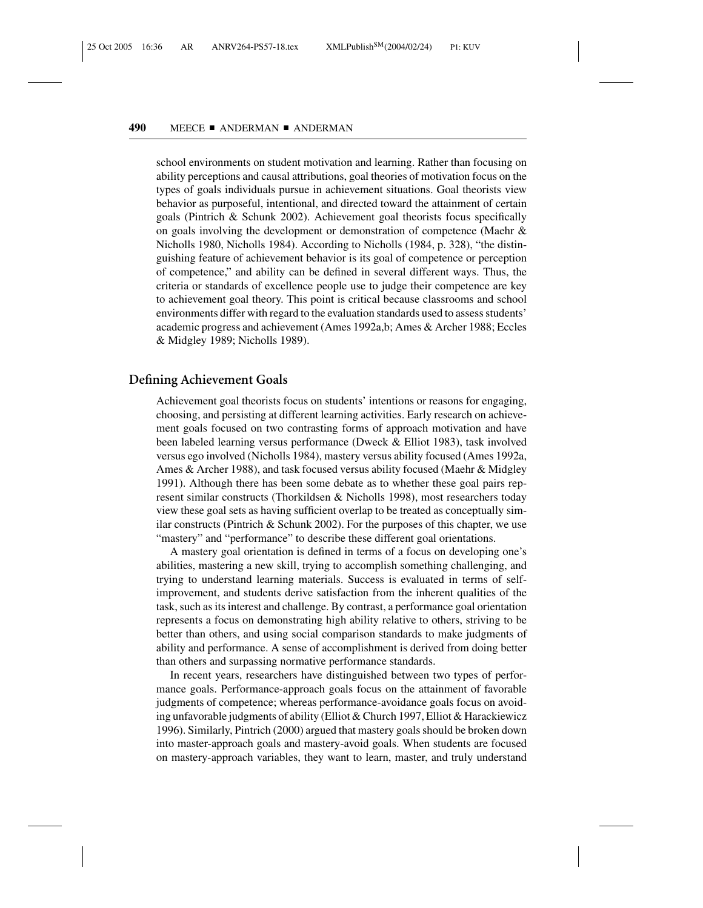school environments on student motivation and learning. Rather than focusing on ability perceptions and causal attributions, goal theories of motivation focus on the types of goals individuals pursue in achievement situations. Goal theorists view behavior as purposeful, intentional, and directed toward the attainment of certain goals (Pintrich & Schunk 2002). Achievement goal theorists focus specifically on goals involving the development or demonstration of competence (Maehr & Nicholls 1980, Nicholls 1984). According to Nicholls (1984, p. 328), "the distinguishing feature of achievement behavior is its goal of competence or perception of competence," and ability can be defined in several different ways. Thus, the criteria or standards of excellence people use to judge their competence are key to achievement goal theory. This point is critical because classrooms and school environments differ with regard to the evaluation standards used to assess students' academic progress and achievement (Ames 1992a,b; Ames & Archer 1988; Eccles & Midgley 1989; Nicholls 1989).

#### **Defining Achievement Goals**

Achievement goal theorists focus on students' intentions or reasons for engaging, choosing, and persisting at different learning activities. Early research on achievement goals focused on two contrasting forms of approach motivation and have been labeled learning versus performance (Dweck & Elliot 1983), task involved versus ego involved (Nicholls 1984), mastery versus ability focused (Ames 1992a, Ames & Archer 1988), and task focused versus ability focused (Maehr & Midgley 1991). Although there has been some debate as to whether these goal pairs represent similar constructs (Thorkildsen & Nicholls 1998), most researchers today view these goal sets as having sufficient overlap to be treated as conceptually similar constructs (Pintrich & Schunk 2002). For the purposes of this chapter, we use "mastery" and "performance" to describe these different goal orientations.

A mastery goal orientation is defined in terms of a focus on developing one's abilities, mastering a new skill, trying to accomplish something challenging, and trying to understand learning materials. Success is evaluated in terms of selfimprovement, and students derive satisfaction from the inherent qualities of the task, such as its interest and challenge. By contrast, a performance goal orientation represents a focus on demonstrating high ability relative to others, striving to be better than others, and using social comparison standards to make judgments of ability and performance. A sense of accomplishment is derived from doing better than others and surpassing normative performance standards.

In recent years, researchers have distinguished between two types of performance goals. Performance-approach goals focus on the attainment of favorable judgments of competence; whereas performance-avoidance goals focus on avoiding unfavorable judgments of ability (Elliot & Church 1997, Elliot & Harackiewicz 1996). Similarly, Pintrich (2000) argued that mastery goals should be broken down into master-approach goals and mastery-avoid goals. When students are focused on mastery-approach variables, they want to learn, master, and truly understand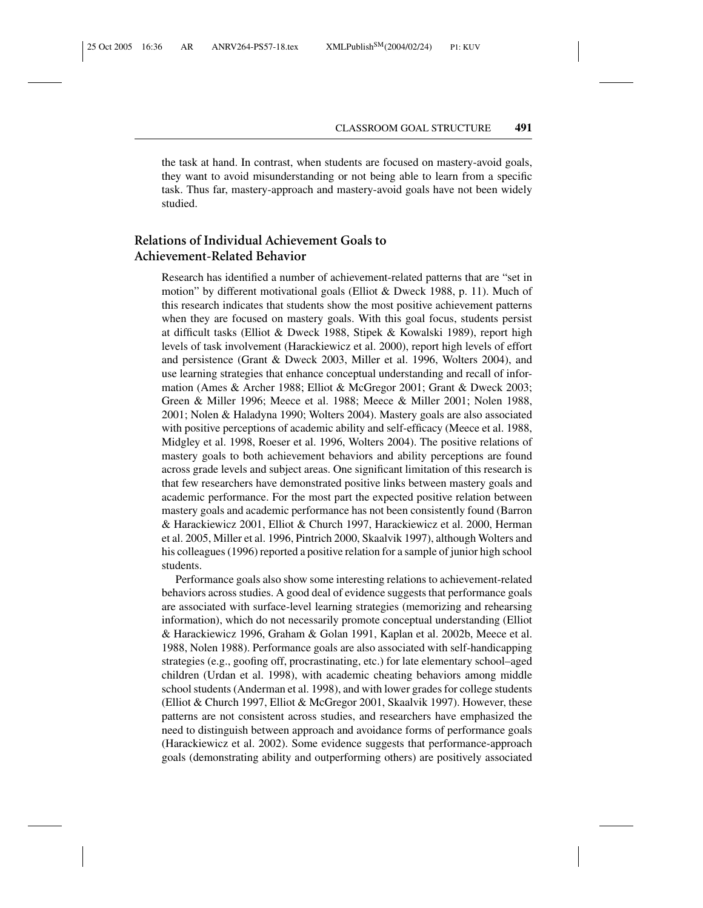the task at hand. In contrast, when students are focused on mastery-avoid goals, they want to avoid misunderstanding or not being able to learn from a specific task. Thus far, mastery-approach and mastery-avoid goals have not been widely studied.

## **Relations of Individual Achievement Goals to Achievement-Related Behavior**

Research has identified a number of achievement-related patterns that are "set in motion" by different motivational goals (Elliot & Dweck 1988, p. 11). Much of this research indicates that students show the most positive achievement patterns when they are focused on mastery goals. With this goal focus, students persist at difficult tasks (Elliot & Dweck 1988, Stipek & Kowalski 1989), report high levels of task involvement (Harackiewicz et al. 2000), report high levels of effort and persistence (Grant & Dweck 2003, Miller et al. 1996, Wolters 2004), and use learning strategies that enhance conceptual understanding and recall of information (Ames & Archer 1988; Elliot & McGregor 2001; Grant & Dweck 2003; Green & Miller 1996; Meece et al. 1988; Meece & Miller 2001; Nolen 1988, 2001; Nolen & Haladyna 1990; Wolters 2004). Mastery goals are also associated with positive perceptions of academic ability and self-efficacy (Meece et al. 1988, Midgley et al. 1998, Roeser et al. 1996, Wolters 2004). The positive relations of mastery goals to both achievement behaviors and ability perceptions are found across grade levels and subject areas. One significant limitation of this research is that few researchers have demonstrated positive links between mastery goals and academic performance. For the most part the expected positive relation between mastery goals and academic performance has not been consistently found (Barron & Harackiewicz 2001, Elliot & Church 1997, Harackiewicz et al. 2000, Herman et al. 2005, Miller et al. 1996, Pintrich 2000, Skaalvik 1997), although Wolters and his colleagues (1996) reported a positive relation for a sample of junior high school students.

Performance goals also show some interesting relations to achievement-related behaviors across studies. A good deal of evidence suggests that performance goals are associated with surface-level learning strategies (memorizing and rehearsing information), which do not necessarily promote conceptual understanding (Elliot & Harackiewicz 1996, Graham & Golan 1991, Kaplan et al. 2002b, Meece et al. 1988, Nolen 1988). Performance goals are also associated with self-handicapping strategies (e.g., goofing off, procrastinating, etc.) for late elementary school–aged children (Urdan et al. 1998), with academic cheating behaviors among middle school students (Anderman et al. 1998), and with lower grades for college students (Elliot & Church 1997, Elliot & McGregor 2001, Skaalvik 1997). However, these patterns are not consistent across studies, and researchers have emphasized the need to distinguish between approach and avoidance forms of performance goals (Harackiewicz et al. 2002). Some evidence suggests that performance-approach goals (demonstrating ability and outperforming others) are positively associated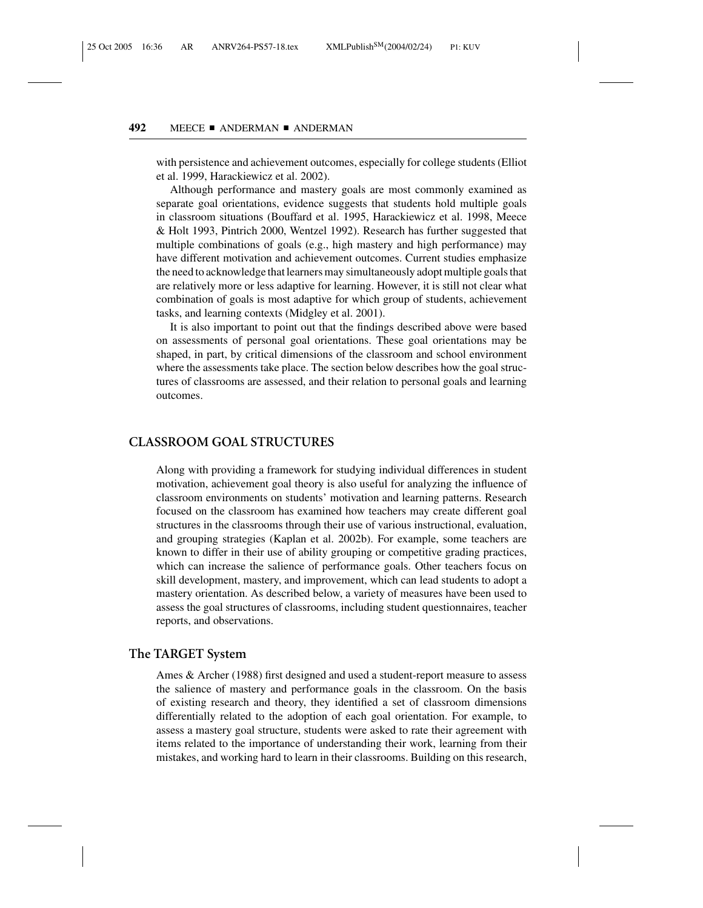with persistence and achievement outcomes, especially for college students (Elliot et al. 1999, Harackiewicz et al. 2002).

Although performance and mastery goals are most commonly examined as separate goal orientations, evidence suggests that students hold multiple goals in classroom situations (Bouffard et al. 1995, Harackiewicz et al. 1998, Meece & Holt 1993, Pintrich 2000, Wentzel 1992). Research has further suggested that multiple combinations of goals (e.g., high mastery and high performance) may have different motivation and achievement outcomes. Current studies emphasize the need to acknowledge that learners may simultaneously adopt multiple goals that are relatively more or less adaptive for learning. However, it is still not clear what combination of goals is most adaptive for which group of students, achievement tasks, and learning contexts (Midgley et al. 2001).

It is also important to point out that the findings described above were based on assessments of personal goal orientations. These goal orientations may be shaped, in part, by critical dimensions of the classroom and school environment where the assessments take place. The section below describes how the goal structures of classrooms are assessed, and their relation to personal goals and learning outcomes.

#### **CLASSROOM GOAL STRUCTURES**

Along with providing a framework for studying individual differences in student motivation, achievement goal theory is also useful for analyzing the influence of classroom environments on students' motivation and learning patterns. Research focused on the classroom has examined how teachers may create different goal structures in the classrooms through their use of various instructional, evaluation, and grouping strategies (Kaplan et al. 2002b). For example, some teachers are known to differ in their use of ability grouping or competitive grading practices, which can increase the salience of performance goals. Other teachers focus on skill development, mastery, and improvement, which can lead students to adopt a mastery orientation. As described below, a variety of measures have been used to assess the goal structures of classrooms, including student questionnaires, teacher reports, and observations.

#### **The TARGET System**

Ames & Archer (1988) first designed and used a student-report measure to assess the salience of mastery and performance goals in the classroom. On the basis of existing research and theory, they identified a set of classroom dimensions differentially related to the adoption of each goal orientation. For example, to assess a mastery goal structure, students were asked to rate their agreement with items related to the importance of understanding their work, learning from their mistakes, and working hard to learn in their classrooms. Building on this research,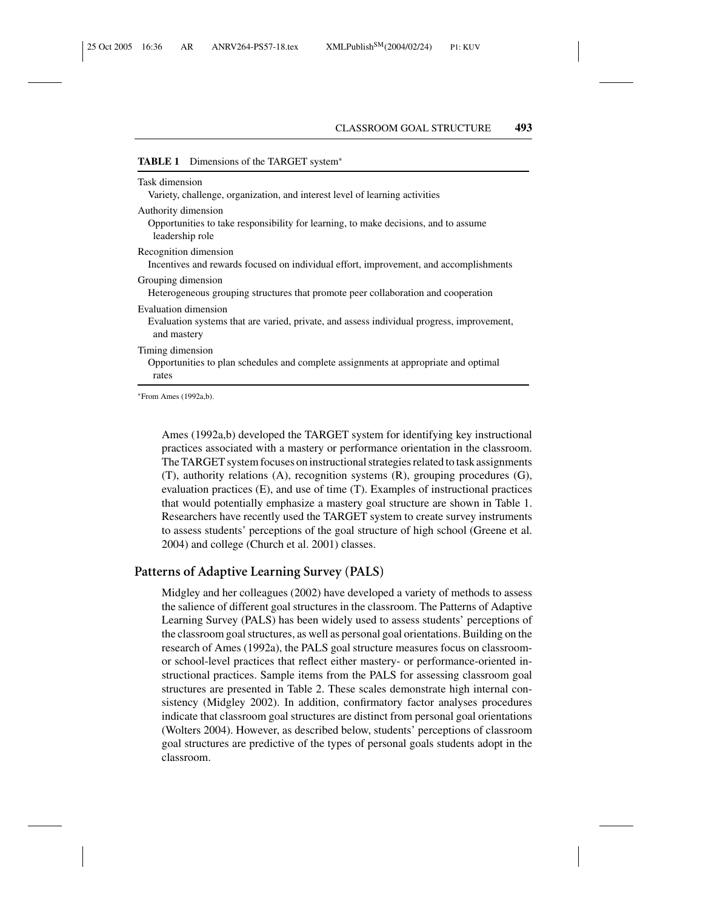|  | <b>TABLE 1</b> Dimensions of the TARGET system <sup>*</sup> |  |  |  |
|--|-------------------------------------------------------------|--|--|--|
|--|-------------------------------------------------------------|--|--|--|

| Task dimension<br>Variety, challenge, organization, and interest level of learning activities                                    |
|----------------------------------------------------------------------------------------------------------------------------------|
| Authority dimension<br>Opportunities to take responsibility for learning, to make decisions, and to assume<br>leadership role    |
| Recognition dimension<br>Incentives and rewards focused on individual effort, improvement, and accomplishments                   |
| Grouping dimension<br>Heterogeneous grouping structures that promote peer collaboration and cooperation                          |
| Evaluation dimension<br>Evaluation systems that are varied, private, and assess individual progress, improvement,<br>and mastery |
| Timing dimension<br>Opportunities to plan schedules and complete assignments at appropriate and optimal<br>rates                 |
| $*E_{\text{max}}$ A map (1002a k)                                                                                                |

∗From Ames (1992a,b).

Ames (1992a,b) developed the TARGET system for identifying key instructional practices associated with a mastery or performance orientation in the classroom. The TARGET system focuses on instructional strategies related to task assignments (T), authority relations (A), recognition systems (R), grouping procedures (G), evaluation practices (E), and use of time (T). Examples of instructional practices that would potentially emphasize a mastery goal structure are shown in Table 1. Researchers have recently used the TARGET system to create survey instruments to assess students' perceptions of the goal structure of high school (Greene et al. 2004) and college (Church et al. 2001) classes.

## **Patterns of Adaptive Learning Survey (PALS)**

Midgley and her colleagues (2002) have developed a variety of methods to assess the salience of different goal structures in the classroom. The Patterns of Adaptive Learning Survey (PALS) has been widely used to assess students' perceptions of the classroom goal structures, as well as personal goal orientations. Building on the research of Ames (1992a), the PALS goal structure measures focus on classroomor school-level practices that reflect either mastery- or performance-oriented instructional practices. Sample items from the PALS for assessing classroom goal structures are presented in Table 2. These scales demonstrate high internal consistency (Midgley 2002). In addition, confirmatory factor analyses procedures indicate that classroom goal structures are distinct from personal goal orientations (Wolters 2004). However, as described below, students' perceptions of classroom goal structures are predictive of the types of personal goals students adopt in the classroom.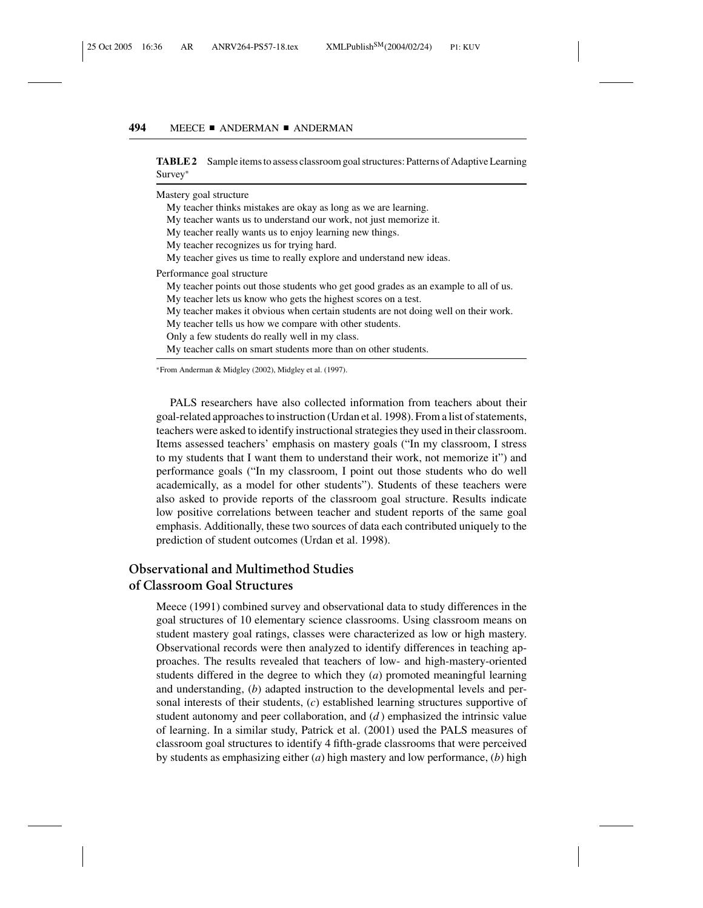**TABLE 2** Sample items to assess classroom goal structures: Patterns of Adaptive Learning Survey<sup>∗</sup>

Mastery goal structure

My teacher thinks mistakes are okay as long as we are learning.

My teacher wants us to understand our work, not just memorize it.

My teacher really wants us to enjoy learning new things.

My teacher recognizes us for trying hard.

My teacher gives us time to really explore and understand new ideas.

Performance goal structure

My teacher points out those students who get good grades as an example to all of us.

My teacher lets us know who gets the highest scores on a test.

My teacher makes it obvious when certain students are not doing well on their work.

My teacher tells us how we compare with other students.

Only a few students do really well in my class.

My teacher calls on smart students more than on other students.

∗From Anderman & Midgley (2002), Midgley et al. (1997).

PALS researchers have also collected information from teachers about their goal-related approaches to instruction (Urdan et al. 1998). From a list of statements, teachers were asked to identify instructional strategies they used in their classroom. Items assessed teachers' emphasis on mastery goals ("In my classroom, I stress to my students that I want them to understand their work, not memorize it") and performance goals ("In my classroom, I point out those students who do well academically, as a model for other students"). Students of these teachers were also asked to provide reports of the classroom goal structure. Results indicate low positive correlations between teacher and student reports of the same goal emphasis. Additionally, these two sources of data each contributed uniquely to the prediction of student outcomes (Urdan et al. 1998).

## **Observational and Multimethod Studies of Classroom Goal Structures**

Meece (1991) combined survey and observational data to study differences in the goal structures of 10 elementary science classrooms. Using classroom means on student mastery goal ratings, classes were characterized as low or high mastery. Observational records were then analyzed to identify differences in teaching approaches. The results revealed that teachers of low- and high-mastery-oriented students differed in the degree to which they (*a*) promoted meaningful learning and understanding, (*b*) adapted instruction to the developmental levels and personal interests of their students, (*c*) established learning structures supportive of student autonomy and peer collaboration, and (*d* ) emphasized the intrinsic value of learning. In a similar study, Patrick et al. (2001) used the PALS measures of classroom goal structures to identify 4 fifth-grade classrooms that were perceived by students as emphasizing either (*a*) high mastery and low performance, (*b*) high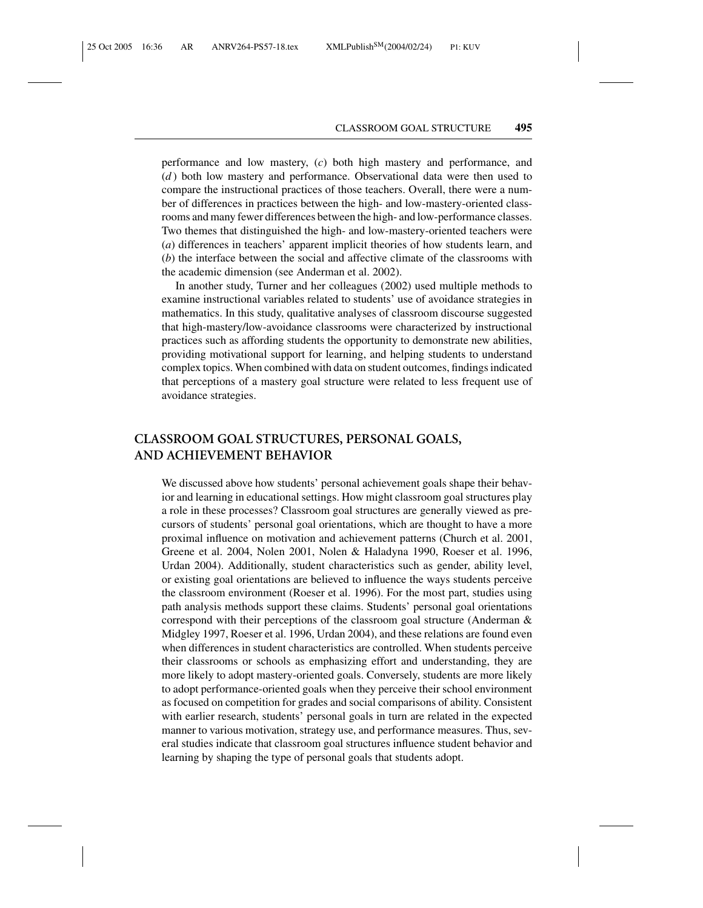performance and low mastery, (*c*) both high mastery and performance, and (*d* ) both low mastery and performance. Observational data were then used to compare the instructional practices of those teachers. Overall, there were a number of differences in practices between the high- and low-mastery-oriented classrooms and many fewer differences between the high- and low-performance classes. Two themes that distinguished the high- and low-mastery-oriented teachers were (*a*) differences in teachers' apparent implicit theories of how students learn, and (*b*) the interface between the social and affective climate of the classrooms with the academic dimension (see Anderman et al. 2002).

In another study, Turner and her colleagues (2002) used multiple methods to examine instructional variables related to students' use of avoidance strategies in mathematics. In this study, qualitative analyses of classroom discourse suggested that high-mastery/low-avoidance classrooms were characterized by instructional practices such as affording students the opportunity to demonstrate new abilities, providing motivational support for learning, and helping students to understand complex topics. When combined with data on student outcomes, findings indicated that perceptions of a mastery goal structure were related to less frequent use of avoidance strategies.

## **CLASSROOM GOAL STRUCTURES, PERSONAL GOALS, AND ACHIEVEMENT BEHAVIOR**

We discussed above how students' personal achievement goals shape their behavior and learning in educational settings. How might classroom goal structures play a role in these processes? Classroom goal structures are generally viewed as precursors of students' personal goal orientations, which are thought to have a more proximal influence on motivation and achievement patterns (Church et al. 2001, Greene et al. 2004, Nolen 2001, Nolen & Haladyna 1990, Roeser et al. 1996, Urdan 2004). Additionally, student characteristics such as gender, ability level, or existing goal orientations are believed to influence the ways students perceive the classroom environment (Roeser et al. 1996). For the most part, studies using path analysis methods support these claims. Students' personal goal orientations correspond with their perceptions of the classroom goal structure (Anderman & Midgley 1997, Roeser et al. 1996, Urdan 2004), and these relations are found even when differences in student characteristics are controlled. When students perceive their classrooms or schools as emphasizing effort and understanding, they are more likely to adopt mastery-oriented goals. Conversely, students are more likely to adopt performance-oriented goals when they perceive their school environment as focused on competition for grades and social comparisons of ability. Consistent with earlier research, students' personal goals in turn are related in the expected manner to various motivation, strategy use, and performance measures. Thus, several studies indicate that classroom goal structures influence student behavior and learning by shaping the type of personal goals that students adopt.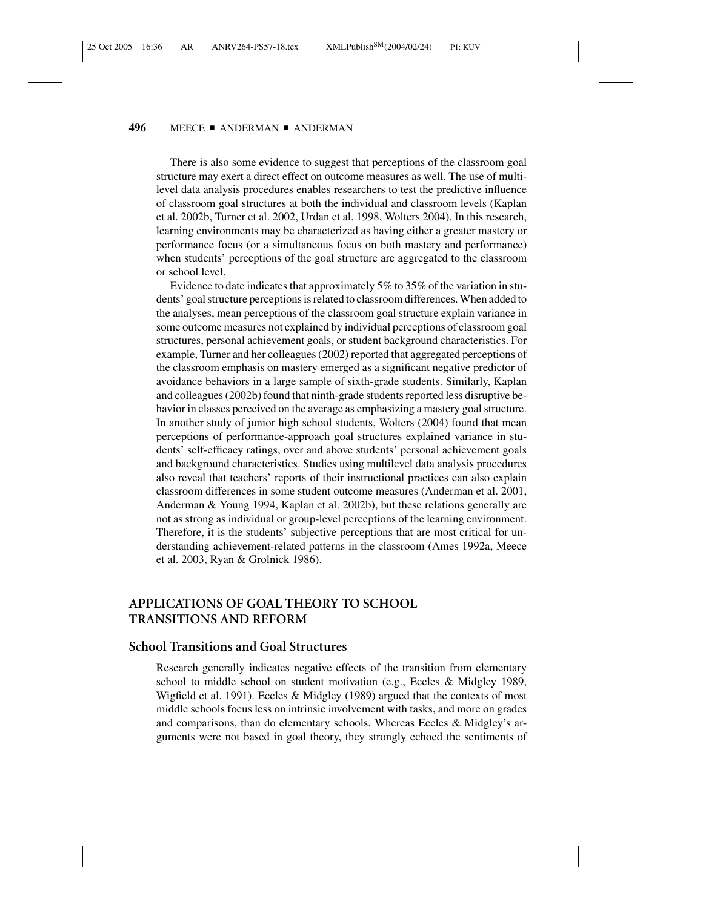There is also some evidence to suggest that perceptions of the classroom goal structure may exert a direct effect on outcome measures as well. The use of multilevel data analysis procedures enables researchers to test the predictive influence of classroom goal structures at both the individual and classroom levels (Kaplan et al. 2002b, Turner et al. 2002, Urdan et al. 1998, Wolters 2004). In this research, learning environments may be characterized as having either a greater mastery or performance focus (or a simultaneous focus on both mastery and performance) when students' perceptions of the goal structure are aggregated to the classroom or school level.

Evidence to date indicates that approximately 5% to 35% of the variation in students' goal structure perceptions is related to classroom differences. When added to the analyses, mean perceptions of the classroom goal structure explain variance in some outcome measures not explained by individual perceptions of classroom goal structures, personal achievement goals, or student background characteristics. For example, Turner and her colleagues (2002) reported that aggregated perceptions of the classroom emphasis on mastery emerged as a significant negative predictor of avoidance behaviors in a large sample of sixth-grade students. Similarly, Kaplan and colleagues (2002b) found that ninth-grade students reported less disruptive behavior in classes perceived on the average as emphasizing a mastery goal structure. In another study of junior high school students, Wolters (2004) found that mean perceptions of performance-approach goal structures explained variance in students' self-efficacy ratings, over and above students' personal achievement goals and background characteristics. Studies using multilevel data analysis procedures also reveal that teachers' reports of their instructional practices can also explain classroom differences in some student outcome measures (Anderman et al. 2001, Anderman & Young 1994, Kaplan et al. 2002b), but these relations generally are not as strong as individual or group-level perceptions of the learning environment. Therefore, it is the students' subjective perceptions that are most critical for understanding achievement-related patterns in the classroom (Ames 1992a, Meece et al. 2003, Ryan & Grolnick 1986).

## **APPLICATIONS OF GOAL THEORY TO SCHOOL TRANSITIONS AND REFORM**

## **School Transitions and Goal Structures**

Research generally indicates negative effects of the transition from elementary school to middle school on student motivation (e.g., Eccles & Midgley 1989, Wigfield et al. 1991). Eccles & Midgley (1989) argued that the contexts of most middle schools focus less on intrinsic involvement with tasks, and more on grades and comparisons, than do elementary schools. Whereas Eccles & Midgley's arguments were not based in goal theory, they strongly echoed the sentiments of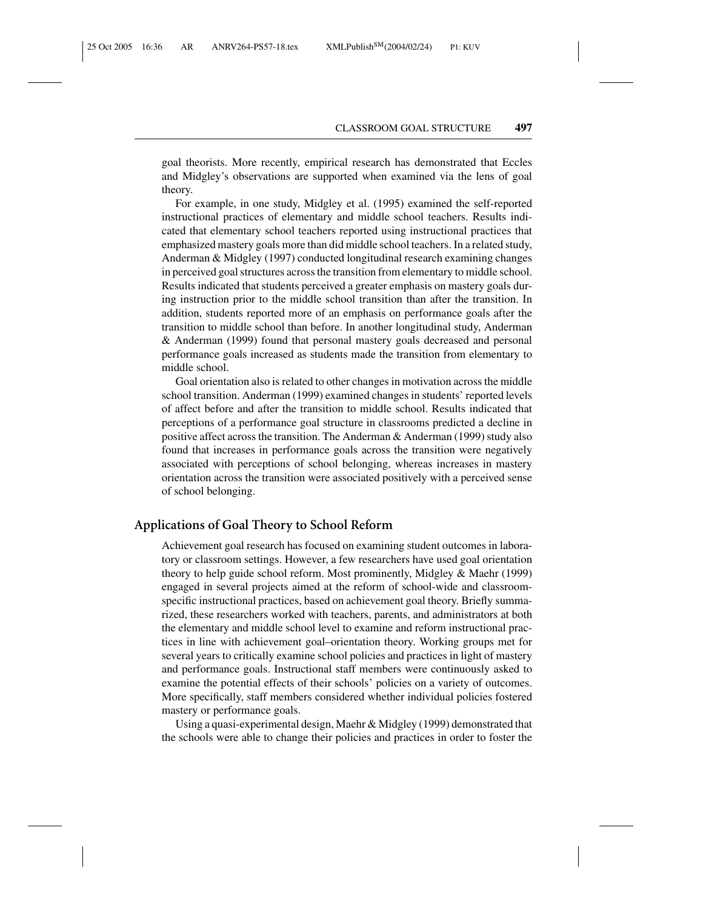goal theorists. More recently, empirical research has demonstrated that Eccles and Midgley's observations are supported when examined via the lens of goal theory.

For example, in one study, Midgley et al. (1995) examined the self-reported instructional practices of elementary and middle school teachers. Results indicated that elementary school teachers reported using instructional practices that emphasized mastery goals more than did middle school teachers. In a related study, Anderman & Midgley (1997) conducted longitudinal research examining changes in perceived goal structures across the transition from elementary to middle school. Results indicated that students perceived a greater emphasis on mastery goals during instruction prior to the middle school transition than after the transition. In addition, students reported more of an emphasis on performance goals after the transition to middle school than before. In another longitudinal study, Anderman & Anderman (1999) found that personal mastery goals decreased and personal performance goals increased as students made the transition from elementary to middle school.

Goal orientation also is related to other changes in motivation across the middle school transition. Anderman (1999) examined changes in students' reported levels of affect before and after the transition to middle school. Results indicated that perceptions of a performance goal structure in classrooms predicted a decline in positive affect across the transition. The Anderman & Anderman (1999) study also found that increases in performance goals across the transition were negatively associated with perceptions of school belonging, whereas increases in mastery orientation across the transition were associated positively with a perceived sense of school belonging.

## **Applications of Goal Theory to School Reform**

Achievement goal research has focused on examining student outcomes in laboratory or classroom settings. However, a few researchers have used goal orientation theory to help guide school reform. Most prominently, Midgley & Maehr (1999) engaged in several projects aimed at the reform of school-wide and classroomspecific instructional practices, based on achievement goal theory. Briefly summarized, these researchers worked with teachers, parents, and administrators at both the elementary and middle school level to examine and reform instructional practices in line with achievement goal–orientation theory. Working groups met for several years to critically examine school policies and practices in light of mastery and performance goals. Instructional staff members were continuously asked to examine the potential effects of their schools' policies on a variety of outcomes. More specifically, staff members considered whether individual policies fostered mastery or performance goals.

Using a quasi-experimental design, Maehr & Midgley (1999) demonstrated that the schools were able to change their policies and practices in order to foster the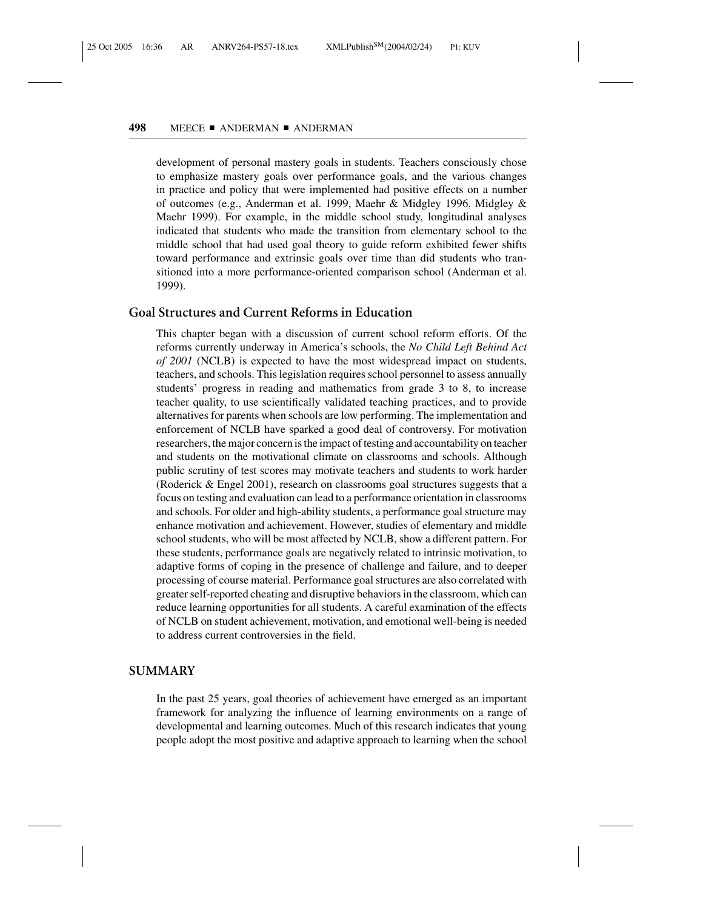development of personal mastery goals in students. Teachers consciously chose to emphasize mastery goals over performance goals, and the various changes in practice and policy that were implemented had positive effects on a number of outcomes (e.g., Anderman et al. 1999, Maehr & Midgley 1996, Midgley & Maehr 1999). For example, in the middle school study, longitudinal analyses indicated that students who made the transition from elementary school to the middle school that had used goal theory to guide reform exhibited fewer shifts toward performance and extrinsic goals over time than did students who transitioned into a more performance-oriented comparison school (Anderman et al. 1999).

#### **Goal Structures and Current Reforms in Education**

This chapter began with a discussion of current school reform efforts. Of the reforms currently underway in America's schools, the *No Child Left Behind Act of 2001* (NCLB) is expected to have the most widespread impact on students, teachers, and schools. This legislation requires school personnel to assess annually students' progress in reading and mathematics from grade 3 to 8, to increase teacher quality, to use scientifically validated teaching practices, and to provide alternatives for parents when schools are low performing. The implementation and enforcement of NCLB have sparked a good deal of controversy. For motivation researchers, the major concern is the impact of testing and accountability on teacher and students on the motivational climate on classrooms and schools. Although public scrutiny of test scores may motivate teachers and students to work harder (Roderick & Engel 2001), research on classrooms goal structures suggests that a focus on testing and evaluation can lead to a performance orientation in classrooms and schools. For older and high-ability students, a performance goal structure may enhance motivation and achievement. However, studies of elementary and middle school students, who will be most affected by NCLB, show a different pattern. For these students, performance goals are negatively related to intrinsic motivation, to adaptive forms of coping in the presence of challenge and failure, and to deeper processing of course material. Performance goal structures are also correlated with greater self-reported cheating and disruptive behaviors in the classroom, which can reduce learning opportunities for all students. A careful examination of the effects of NCLB on student achievement, motivation, and emotional well-being is needed to address current controversies in the field.

#### **SUMMARY**

In the past 25 years, goal theories of achievement have emerged as an important framework for analyzing the influence of learning environments on a range of developmental and learning outcomes. Much of this research indicates that young people adopt the most positive and adaptive approach to learning when the school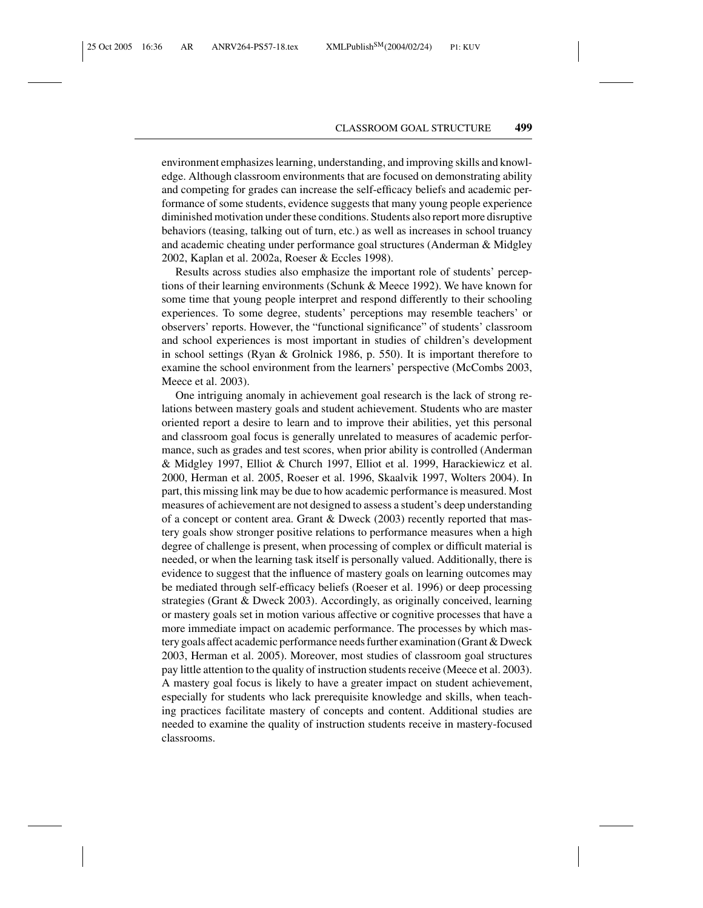environment emphasizes learning, understanding, and improving skills and knowledge. Although classroom environments that are focused on demonstrating ability and competing for grades can increase the self-efficacy beliefs and academic performance of some students, evidence suggests that many young people experience diminished motivation under these conditions. Students also report more disruptive behaviors (teasing, talking out of turn, etc.) as well as increases in school truancy and academic cheating under performance goal structures (Anderman & Midgley 2002, Kaplan et al. 2002a, Roeser & Eccles 1998).

Results across studies also emphasize the important role of students' perceptions of their learning environments (Schunk & Meece 1992). We have known for some time that young people interpret and respond differently to their schooling experiences. To some degree, students' perceptions may resemble teachers' or observers' reports. However, the "functional significance" of students' classroom and school experiences is most important in studies of children's development in school settings (Ryan & Grolnick 1986, p. 550). It is important therefore to examine the school environment from the learners' perspective (McCombs 2003, Meece et al. 2003).

One intriguing anomaly in achievement goal research is the lack of strong relations between mastery goals and student achievement. Students who are master oriented report a desire to learn and to improve their abilities, yet this personal and classroom goal focus is generally unrelated to measures of academic performance, such as grades and test scores, when prior ability is controlled (Anderman & Midgley 1997, Elliot & Church 1997, Elliot et al. 1999, Harackiewicz et al. 2000, Herman et al. 2005, Roeser et al. 1996, Skaalvik 1997, Wolters 2004). In part, this missing link may be due to how academic performance is measured. Most measures of achievement are not designed to assess a student's deep understanding of a concept or content area. Grant  $&$  Dweck (2003) recently reported that mastery goals show stronger positive relations to performance measures when a high degree of challenge is present, when processing of complex or difficult material is needed, or when the learning task itself is personally valued. Additionally, there is evidence to suggest that the influence of mastery goals on learning outcomes may be mediated through self-efficacy beliefs (Roeser et al. 1996) or deep processing strategies (Grant & Dweck 2003). Accordingly, as originally conceived, learning or mastery goals set in motion various affective or cognitive processes that have a more immediate impact on academic performance. The processes by which mastery goals affect academic performance needs further examination (Grant & Dweck 2003, Herman et al. 2005). Moreover, most studies of classroom goal structures pay little attention to the quality of instruction students receive (Meece et al. 2003). A mastery goal focus is likely to have a greater impact on student achievement, especially for students who lack prerequisite knowledge and skills, when teaching practices facilitate mastery of concepts and content. Additional studies are needed to examine the quality of instruction students receive in mastery-focused classrooms.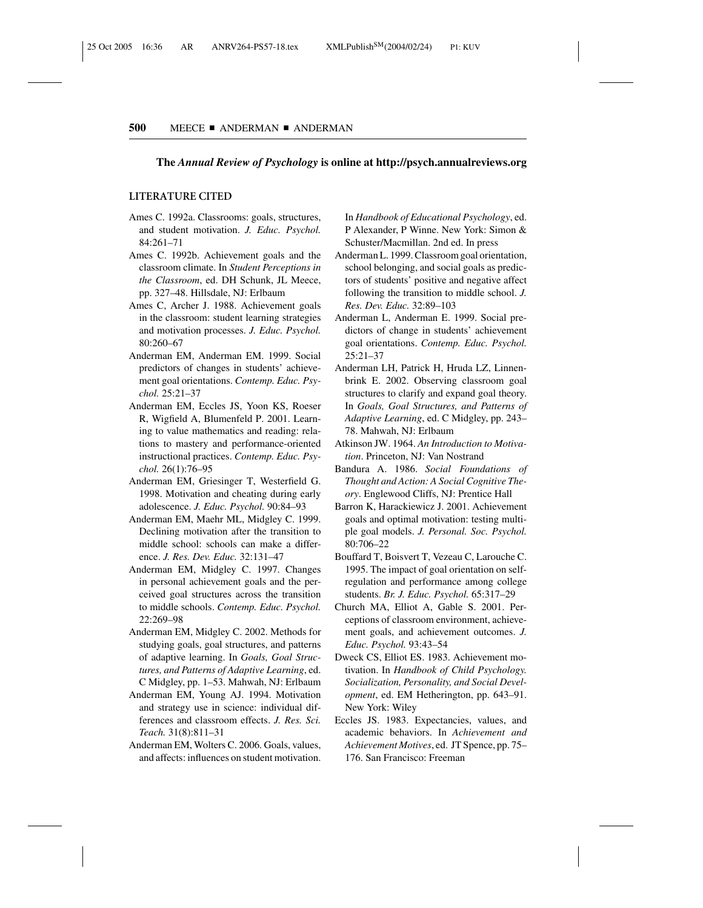#### **The** *Annual Review of Psychology* **is online at http://psych.annualreviews.org**

#### **LITERATURE CITED**

- Ames C. 1992a. Classrooms: goals, structures, and student motivation. *J. Educ. Psychol.* 84:261–71
- Ames C. 1992b. Achievement goals and the classroom climate. In *Student Perceptions in the Classroom*, ed. DH Schunk, JL Meece, pp. 327–48. Hillsdale, NJ: Erlbaum
- Ames C, Archer J. 1988. Achievement goals in the classroom: student learning strategies and motivation processes. *J. Educ. Psychol.* 80:260–67
- Anderman EM, Anderman EM. 1999. Social predictors of changes in students' achievement goal orientations. *Contemp. Educ. Psychol.* 25:21–37
- Anderman EM, Eccles JS, Yoon KS, Roeser R, Wigfield A, Blumenfeld P. 2001. Learning to value mathematics and reading: relations to mastery and performance-oriented instructional practices. *Contemp. Educ. Psychol.* 26(1):76–95
- Anderman EM, Griesinger T, Westerfield G. 1998. Motivation and cheating during early adolescence. *J. Educ. Psychol.* 90:84–93
- Anderman EM, Maehr ML, Midgley C. 1999. Declining motivation after the transition to middle school: schools can make a difference. *J. Res. Dev. Educ.* 32:131–47
- Anderman EM, Midgley C. 1997. Changes in personal achievement goals and the perceived goal structures across the transition to middle schools. *Contemp. Educ. Psychol.* 22:269–98
- Anderman EM, Midgley C. 2002. Methods for studying goals, goal structures, and patterns of adaptive learning. In *Goals, Goal Structures, and Patterns of Adaptive Learning*, ed. C Midgley, pp. 1–53. Mahwah, NJ: Erlbaum
- Anderman EM, Young AJ. 1994. Motivation and strategy use in science: individual differences and classroom effects. *J. Res. Sci. Teach.* 31(8):811–31
- Anderman EM, Wolters C. 2006. Goals, values, and affects: influences on student motivation.

In *Handbook of Educational Psychology*, ed. P Alexander, P Winne. New York: Simon & Schuster/Macmillan. 2nd ed. In press

- Anderman L. 1999. Classroom goal orientation, school belonging, and social goals as predictors of students' positive and negative affect following the transition to middle school. *J. Res. Dev. Educ.* 32:89–103
- Anderman L, Anderman E. 1999. Social predictors of change in students' achievement goal orientations. *Contemp. Educ. Psychol.* 25:21–37
- Anderman LH, Patrick H, Hruda LZ, Linnenbrink E. 2002. Observing classroom goal structures to clarify and expand goal theory. In *Goals, Goal Structures, and Patterns of Adaptive Learning*, ed. C Midgley, pp. 243– 78. Mahwah, NJ: Erlbaum
- Atkinson JW. 1964. *An Introduction to Motivation*. Princeton, NJ: Van Nostrand
- Bandura A. 1986. *Social Foundations of Thought and Action: A Social Cognitive Theory*. Englewood Cliffs, NJ: Prentice Hall
- Barron K, Harackiewicz J. 2001. Achievement goals and optimal motivation: testing multiple goal models. *J. Personal. Soc. Psychol.* 80:706–22
- Bouffard T, Boisvert T, Vezeau C, Larouche C. 1995. The impact of goal orientation on selfregulation and performance among college students. *Br. J. Educ. Psychol.* 65:317–29
- Church MA, Elliot A, Gable S. 2001. Perceptions of classroom environment, achievement goals, and achievement outcomes. *J. Educ. Psychol.* 93:43–54
- Dweck CS, Elliot ES. 1983. Achievement motivation. In *Handbook of Child Psychology. Socialization, Personality, and Social Development*, ed. EM Hetherington, pp. 643–91. New York: Wiley
- Eccles JS. 1983. Expectancies, values, and academic behaviors. In *Achievement and Achievement Motives*, ed. JT Spence, pp. 75– 176. San Francisco: Freeman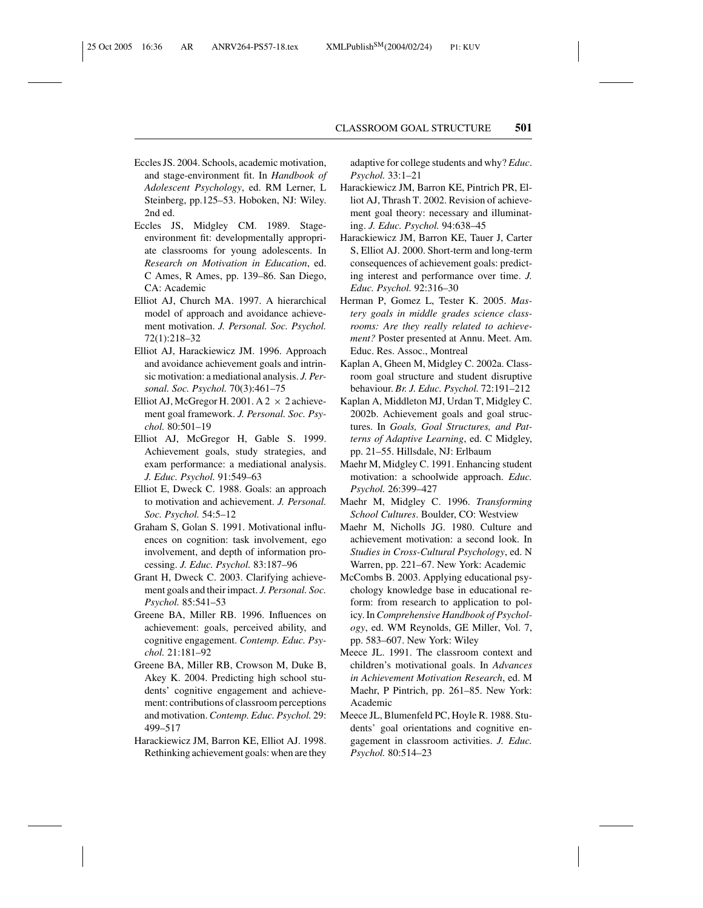- Eccles JS. 2004. Schools, academic motivation, and stage-environment fit. In *Handbook of Adolescent Psychology*, ed. RM Lerner, L Steinberg, pp.125–53. Hoboken, NJ: Wiley. 2nd ed.
- Eccles JS, Midgley CM. 1989. Stageenvironment fit: developmentally appropriate classrooms for young adolescents. In *Research on Motivation in Education*, ed. C Ames, R Ames, pp. 139–86. San Diego, CA: Academic
- Elliot AJ, Church MA. 1997. A hierarchical model of approach and avoidance achievement motivation. *J. Personal. Soc. Psychol.* 72(1):218–32
- Elliot AJ, Harackiewicz JM. 1996. Approach and avoidance achievement goals and intrinsic motivation: a mediational analysis. *J. Personal. Soc. Psychol.* 70(3):461–75
- Elliot AJ, McGregor H. 2001. A  $2 \times 2$  achievement goal framework. *J. Personal. Soc. Psychol.* 80:501–19
- Elliot AJ, McGregor H, Gable S. 1999. Achievement goals, study strategies, and exam performance: a mediational analysis. *J. Educ. Psychol.* 91:549–63
- Elliot E, Dweck C. 1988. Goals: an approach to motivation and achievement. *J. Personal. Soc. Psychol.* 54:5–12
- Graham S, Golan S. 1991. Motivational influences on cognition: task involvement, ego involvement, and depth of information processing. *J. Educ. Psychol.* 83:187–96
- Grant H, Dweck C. 2003. Clarifying achievement goals and their impact. *J. Personal. Soc. Psychol.* 85:541–53
- Greene BA, Miller RB. 1996. Influences on achievement: goals, perceived ability, and cognitive engagement. *Contemp. Educ. Psychol.* 21:181–92
- Greene BA, Miller RB, Crowson M, Duke B, Akey K. 2004. Predicting high school students' cognitive engagement and achievement: contributions of classroom perceptions and motivation.*Contemp. Educ. Psychol.* 29: 499–517
- Harackiewicz JM, Barron KE, Elliot AJ. 1998. Rethinking achievement goals: when are they

adaptive for college students and why? *Educ*. *Psychol.* 33:1–21

- Harackiewicz JM, Barron KE, Pintrich PR, Elliot AJ, Thrash T. 2002. Revision of achievement goal theory: necessary and illuminating. *J. Educ. Psychol.* 94:638–45
- Harackiewicz JM, Barron KE, Tauer J, Carter S, Elliot AJ. 2000. Short-term and long-term consequences of achievement goals: predicting interest and performance over time. *J. Educ. Psychol.* 92:316–30
- Herman P, Gomez L, Tester K. 2005. *Mastery goals in middle grades science classrooms: Are they really related to achievement?* Poster presented at Annu. Meet. Am. Educ. Res. Assoc., Montreal
- Kaplan A, Gheen M, Midgley C. 2002a. Classroom goal structure and student disruptive behaviour. *Br. J. Educ. Psychol.* 72:191–212
- Kaplan A, Middleton MJ, Urdan T, Midgley C. 2002b. Achievement goals and goal structures. In *Goals, Goal Structures, and Patterns of Adaptive Learning*, ed. C Midgley, pp. 21–55. Hillsdale, NJ: Erlbaum
- Maehr M, Midgley C. 1991. Enhancing student motivation: a schoolwide approach. *Educ. Psychol.* 26:399–427
- Maehr M, Midgley C. 1996. *Transforming School Cultures*. Boulder, CO: Westview
- Maehr M, Nicholls JG. 1980. Culture and achievement motivation: a second look. In *Studies in Cross-Cultural Psychology*, ed. N Warren, pp. 221–67. New York: Academic
- McCombs B. 2003. Applying educational psychology knowledge base in educational reform: from research to application to policy. In*Comprehensive Handbook of Psychology*, ed. WM Reynolds, GE Miller, Vol. 7, pp. 583–607. New York: Wiley
- Meece JL. 1991. The classroom context and children's motivational goals. In *Advances in Achievement Motivation Research*, ed. M Maehr, P Pintrich, pp. 261–85. New York: Academic
- Meece JL, Blumenfeld PC, Hoyle R. 1988. Students' goal orientations and cognitive engagement in classroom activities. *J. Educ. Psychol.* 80:514–23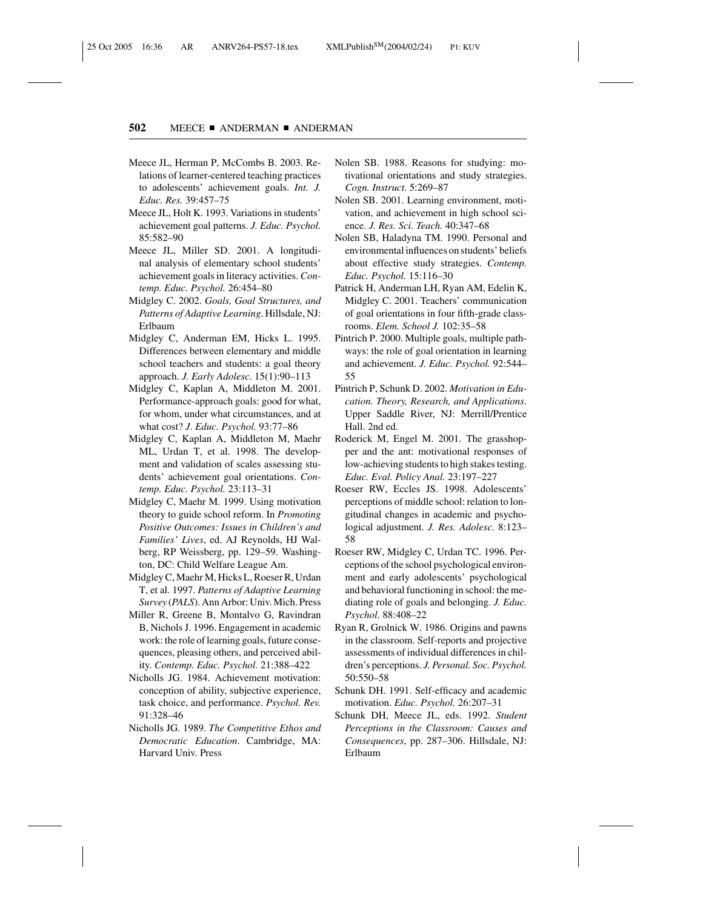- Meece JL, Herman P, McCombs B. 2003. Relations of learner-centered teaching practices to adolescents' achievement goals. *Int. J. Educ. Res.* 39:457–75
- Meece JL, Holt K. 1993. Variations in students' achievement goal patterns. *J. Educ. Psychol.* 85:582–90
- Meece JL, Miller SD. 2001. A longitudinal analysis of elementary school students' achievement goals in literacy activities. *Contemp. Educ. Psychol.* 26:454–80
- Midgley C. 2002. *Goals, Goal Structures, and Patterns of Adaptive Learning*. Hillsdale, NJ: Erlbaum
- Midgley C, Anderman EM, Hicks L. 1995. Differences between elementary and middle school teachers and students: a goal theory approach. *J. Early Adolesc.* 15(1):90–113
- Midgley C, Kaplan A, Middleton M. 2001. Performance-approach goals: good for what, for whom, under what circumstances, and at what cost? *J*. *Educ. Psychol.* 93:77–86
- Midgley C, Kaplan A, Middleton M, Maehr ML, Urdan T, et al. 1998. The development and validation of scales assessing students' achievement goal orientations. *Contemp. Educ. Psychol.* 23:113–31
- Midgley C, Maehr M. 1999. Using motivation theory to guide school reform. In *Promoting Positive Outcomes: Issues in Children's and Families' Lives*, ed. AJ Reynolds, HJ Walberg, RP Weissberg, pp. 129–59. Washington, DC: Child Welfare League Am.
- Midgley C, Maehr M, Hicks L, Roeser R, Urdan T, et al. 1997. *Patterns of Adaptive Learning Survey* (*PALS*). Ann Arbor: Univ. Mich. Press
- Miller R, Greene B, Montalvo G, Ravindran B, Nichols J. 1996. Engagement in academic work: the role of learning goals, future consequences, pleasing others, and perceived ability. *Contemp. Educ. Psychol.* 21:388–422
- Nicholls JG. 1984. Achievement motivation: conception of ability, subjective experience, task choice, and performance. *Psychol. Rev.* 91:328–46
- Nicholls JG. 1989. *The Competitive Ethos and Democratic Education*. Cambridge, MA: Harvard Univ. Press
- Nolen SB. 1988. Reasons for studying: motivational orientations and study strategies. *Cogn. Instruct.* 5:269–87
- Nolen SB. 2001. Learning environment, motivation, and achievement in high school science. *J. Res. Sci. Teach.* 40:347–68
- Nolen SB, Haladyna TM. 1990. Personal and environmental influences on students' beliefs about effective study strategies. *Contemp. Educ. Psychol.* 15:116–30
- Patrick H, Anderman LH, Ryan AM, Edelin K, Midgley C. 2001. Teachers' communication of goal orientations in four fifth-grade classrooms. *Elem. School J.* 102:35–58
- Pintrich P. 2000. Multiple goals, multiple pathways: the role of goal orientation in learning and achievement. *J. Educ. Psychol.* 92:544– 55
- Pintrich P, Schunk D. 2002. *Motivation in Education. Theory, Research, and Applications*. Upper Saddle River, NJ: Merrill/Prentice Hall. 2nd ed.
- Roderick M, Engel M. 2001. The grasshopper and the ant: motivational responses of low-achieving students to high stakes testing. *Educ. Eval. Policy Anal.* 23:197–227
- Roeser RW, Eccles JS. 1998. Adolescents' perceptions of middle school: relation to longitudinal changes in academic and psychological adjustment. *J. Res. Adolesc.* 8:123– 58
- Roeser RW, Midgley C, Urdan TC. 1996. Perceptions of the school psychological environment and early adolescents' psychological and behavioral functioning in school: the mediating role of goals and belonging. *J. Educ. Psychol.* 88:408–22
- Ryan R, Grolnick W. 1986. Origins and pawns in the classroom. Self-reports and projective assessments of individual differences in children's perceptions. *J. Personal. Soc. Psychol.* 50:550–58
- Schunk DH. 1991. Self-efficacy and academic motivation. *Educ. Psychol.* 26:207–31
- Schunk DH, Meece JL, eds. 1992. *Student Perceptions in the Classroom: Causes and Consequences*, pp. 287–306. Hillsdale, NJ: Erlbaum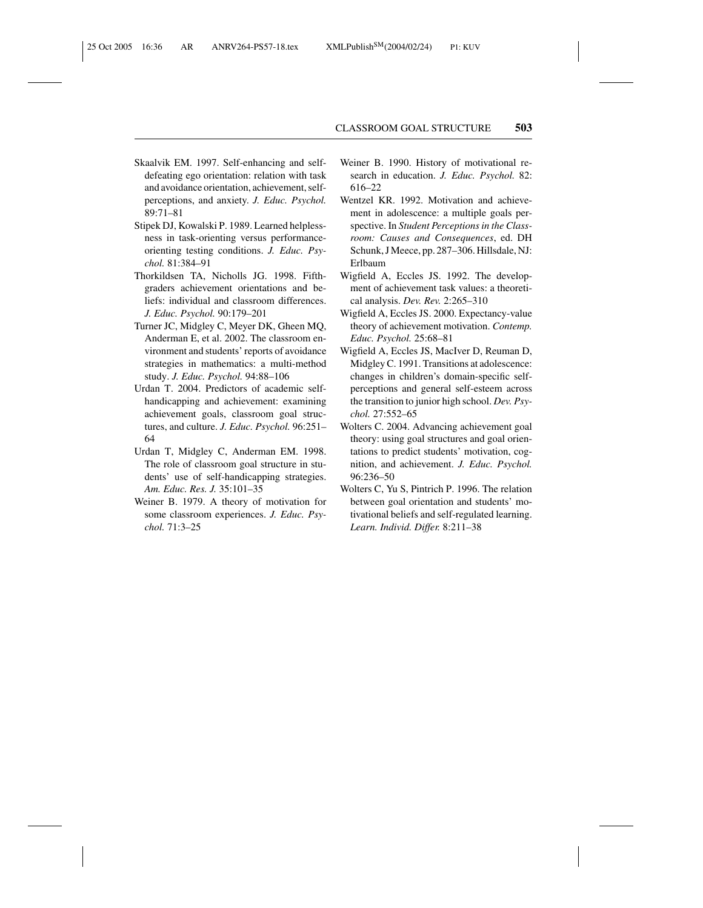- Skaalvik EM. 1997. Self-enhancing and selfdefeating ego orientation: relation with task and avoidance orientation, achievement, selfperceptions, and anxiety. *J. Educ. Psychol.* 89:71–81
- Stipek DJ, Kowalski P. 1989. Learned helplessness in task-orienting versus performanceorienting testing conditions. *J. Educ. Psychol.* 81:384–91
- Thorkildsen TA, Nicholls JG. 1998. Fifthgraders achievement orientations and beliefs: individual and classroom differences. *J. Educ. Psychol.* 90:179–201
- Turner JC, Midgley C, Meyer DK, Gheen MQ, Anderman E, et al. 2002. The classroom environment and students' reports of avoidance strategies in mathematics: a multi-method study. *J. Educ. Psychol.* 94:88–106
- Urdan T. 2004. Predictors of academic selfhandicapping and achievement: examining achievement goals, classroom goal structures, and culture. *J. Educ. Psychol.* 96:251– 64
- Urdan T, Midgley C, Anderman EM. 1998. The role of classroom goal structure in students' use of self-handicapping strategies. *Am. Educ. Res. J.* 35:101–35
- Weiner B. 1979. A theory of motivation for some classroom experiences. *J. Educ. Psychol.* 71:3–25
- Weiner B. 1990. History of motivational research in education. *J. Educ. Psychol.* 82: 616–22
- Wentzel KR. 1992. Motivation and achievement in adolescence: a multiple goals perspective. In *Student Perceptions in the Classroom: Causes and Consequences*, ed. DH Schunk, J Meece, pp. 287–306. Hillsdale, NJ: Erlbaum
- Wigfield A, Eccles JS. 1992. The development of achievement task values: a theoretical analysis. *Dev. Rev.* 2:265–310
- Wigfield A, Eccles JS. 2000. Expectancy-value theory of achievement motivation. *Contemp. Educ. Psychol.* 25:68–81
- Wigfield A, Eccles JS, MacIver D, Reuman D, Midgley C. 1991. Transitions at adolescence: changes in children's domain-specific selfperceptions and general self-esteem across the transition to junior high school. *Dev. Psychol.* 27:552–65
- Wolters C. 2004. Advancing achievement goal theory: using goal structures and goal orientations to predict students' motivation, cognition, and achievement. *J. Educ. Psychol.* 96:236–50
- Wolters C, Yu S, Pintrich P. 1996. The relation between goal orientation and students' motivational beliefs and self-regulated learning. *Learn. Individ. Differ.* 8:211–38